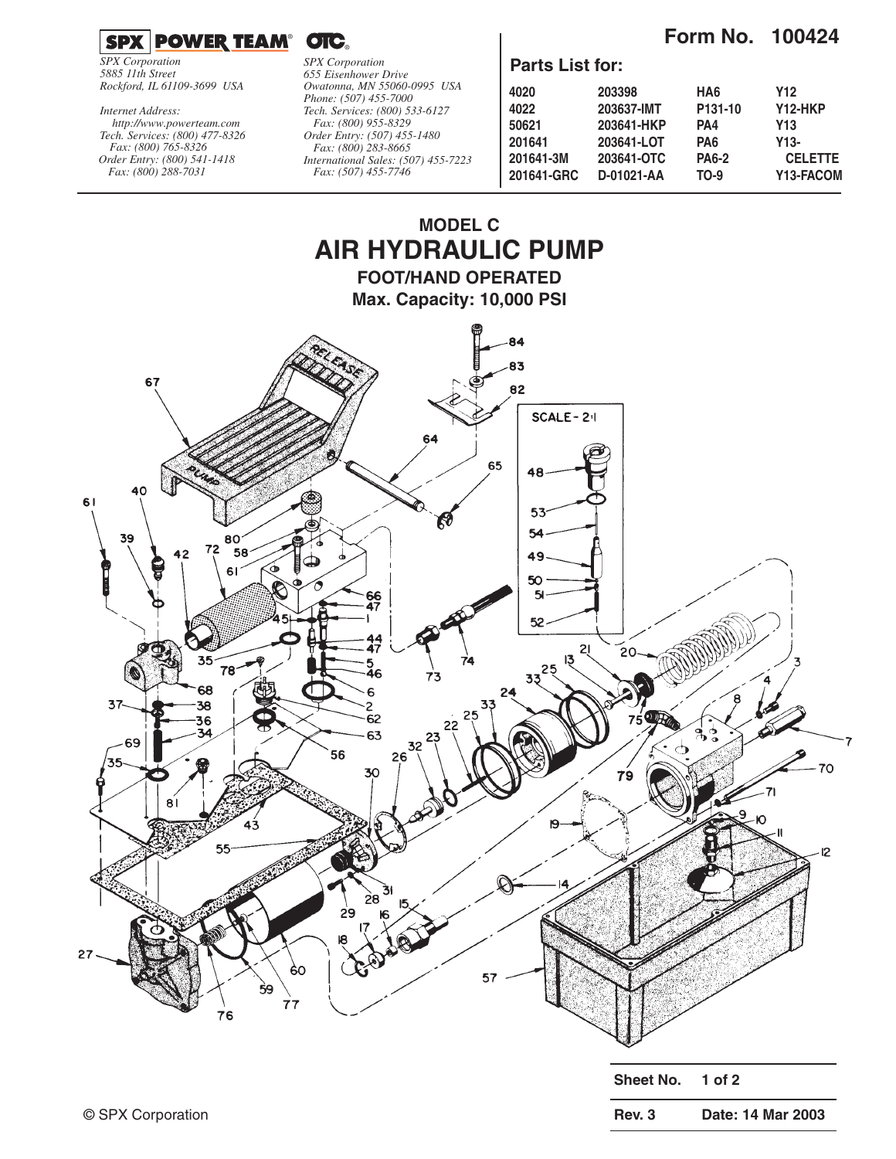**Form No. 100424**



*SPX Corporation 5885 11th Street Rockford, IL 61109-3699 USA*

*Tech. Services: (800) 477-8326 Fax: (800) 765-8326 Order Entry: (800) 541-1418 Fax: (800) 288-7031 http://www.powerteam.com Internet Address:*

*SPX Corporation 655 Eisenhower Drive Owatonna, MN 55060-0995 USA Phone: (507) 455-7000 Tech. Services: (800) 533-6127 Fax: (800) 955-8329 Order Entry: (507) 455-1480 Fax: (800) 283-8665 International Sales: (507) 455-7223 Fax: (507) 455-7746*

### **Parts List for:**

| 203398     | HA6                 | Y12            |
|------------|---------------------|----------------|
| 203637-IMT | P <sub>131-10</sub> | Y12-HKP        |
| 203641-HKP | PA4                 | Y13            |
| 203641-LOT | PA6                 | Y13-           |
| 203641-OTC | <b>PA6-2</b>        | <b>CELETTE</b> |
| D-01021-AA | TO-9                | Y13-FACOM      |
|            |                     |                |

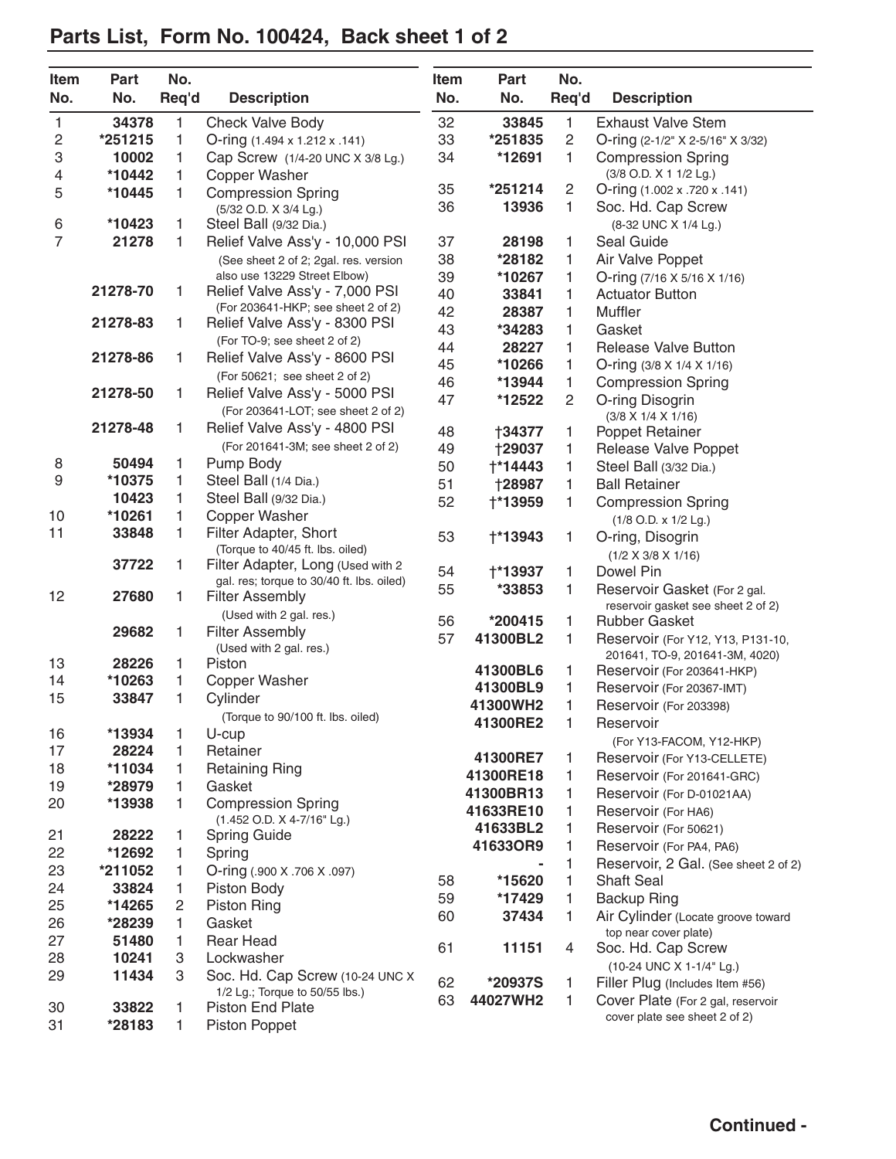#### **Item Part No. Item Part No. No. No. Req'd Description No. No. Req'd Description** 1 **34378** 1 Check Valve Body 2 **\*251215** 1 O-ring (1.494 x 1.212 x .141) 3 **10002** 1 Cap Screw (1/4-20 UNC X 3/8 Lg.) 4 **\*10442** 1 Copper Washer 5 **\*10445** 1 Compression Spring (5/32 O.D. X 3/4 Lg.) 6 **\*10423** 1 Steel Ball (9/32 Dia.) 7 **21278** 1 Relief Valve Ass'y - 10,000 PSI (See sheet 2 of 2; 2gal. res. version also use 13229 Street Elbow) **21278-70** 1 Relief Valve Ass'y - 7,000 PSI (For 203641-HKP; see sheet 2 of 2) **21278-83** 1 Relief Valve Ass'y - 8300 PSI (For TO-9; see sheet 2 of 2) **21278-86** 1 Relief Valve Ass'y - 8600 PSI (For 50621; see sheet 2 of 2) **21278-50** 1 Relief Valve Ass'y - 5000 PSI (For 203641-LOT; see sheet 2 of 2) **21278-48** 1 Relief Valve Ass'y - 4800 PSI (For 201641-3M; see sheet 2 of 2) 8 **50494** 1 Pump Body 9 **\*10375** 1 Steel Ball (1/4 Dia.) **10423** 1 Steel Ball (9/32 Dia.) 10 **\*10261** 1 Copper Washer 11 **33848** 1 Filter Adapter, Short (Torque to 40/45 ft. lbs. oiled) **37722** 1 Filter Adapter, Long (Used with 2 gal. res; torque to 30/40 ft. lbs. oiled) 12 **27680** 1 Filter Assembly (Used with 2 gal. res.) **29682** 1 Filter Assembly (Used with 2 gal. res.) 13 **28226** 1 Piston 14 **\*10263** 1 Copper Washer 15 **33847** 1 Cylinder (Torque to 90/100 ft. lbs. oiled) 16 **\*13934** 1 U-cup 17 **28224** 1 Retainer 18 **\*11034** 1 Retaining Ring 19 **\*28979** 1 Gasket 20 **\*13938** 1 Compression Spring (1.452 O.D. X 4-7/16" Lg.) 21 **28222** 1 Spring Guide 22 **\*12692** 1 Spring 23 **\*211052** 1 O-ring (.900 X .706 X .097) 24 **33824** 1 Piston Body 25 **\*14265** 2 Piston Ring 26 **\*28239** 1 Gasket 27 **51480** 1 Rear Head 28 **10241** 3 Lockwasher 29 **11434** 3 Soc. Hd. Cap Screw (10-24 UNC X 1/2 Lg.; Torque to 50/55 lbs.) 30 **33822** 1 Piston End Plate 31 **\*28183** 1 Piston Poppet 32 **33845** 1 Exhaust Valve Stem 33 **\*251835** 2 O-ring (2-1/2" X 2-5/16" X 3/32) 34 **\*12691** 1 Compression Spring (3/8 O.D. X 1 1/2 Lg.) 35 **\*251214** 2 O-ring (1.002 x .720 x .141) 36 **13936** 1 Soc. Hd. Cap Screw (8-32 UNC X 1/4 Lg.) 37 **28198** 1 Seal Guide 38 **\*28182** 1 Air Valve Poppet 39 **\*10267** 1 O-ring (7/16 X 5/16 X 1/16) 40 **33841** 1 Actuator Button 42 **28387** 1 Muffler 43 **\*34283** 1 Gasket 44 **28227** 1 Release Valve Button 45 **\*10266** 1 O-ring (3/8 X 1/4 X 1/16) 46 **\*13944** 1 Compression Spring 47 **\*12522** 2 O-ring Disogrin (3/8 X 1/4 X 1/16) 48 †**34377** 1 Poppet Retainer 49 †**29037** 1 Release Valve Poppet 50 †**\*14443** 1 Steel Ball (3/32 Dia.) 51 †**28987** 1 Ball Retainer 52 †**\*13959** 1 Compression Spring (1/8 O.D. x 1/2 Lg.) 53 †**\*13943** 1 O-ring, Disogrin (1/2 X 3/8 X 1/16) 54 †**\*13937** 1 Dowel Pin 55 **\*33853** 1 Reservoir Gasket (For 2 gal. reservoir gasket see sheet 2 of 2) 56 **\*200415** 1 Rubber Gasket 57 **41300BL2** 1 Reservoir (For Y12, Y13, P131-10, 201641, TO-9, 201641-3M, 4020) **41300BL6** 1 Reservoir (For 203641-HKP) **41300BL9** 1 Reservoir (For 20367-IMT) **41300WH2** 1 Reservoir (For 203398) **41300RE2** 1 Reservoir (For Y13-FACOM, Y12-HKP) **41300RE7** 1 Reservoir (For Y13-CELLETE) **41300RE18** 1 Reservoir (For 201641-GRC) **41300BR13** 1 Reservoir (For D-01021AA) **41633RE10** 1 Reservoir (For HA6) **41633BL2** 1 Reservoir (For 50621) **41633OR9** 1 Reservoir (For PA4, PA6) **-** 1 Reservoir, 2 Gal. (See sheet 2 of 2) 58 **\*15620** 1 Shaft Seal 59 **\*17429** 1 Backup Ring 60 **37434** 1 Air Cylinder (Locate groove toward top near cover plate) 61 **11151** 4 Soc. Hd. Cap Screw (10-24 UNC X 1-1/4" Lg.) 62 **\*20937S** 1 Filler Plug (Includes Item #56) 63 **44027WH2** 1 Cover Plate (For 2 gal, reservoir cover plate see sheet 2 of 2)

## **Parts List, Form No. 100424, Back sheet 1 of 2**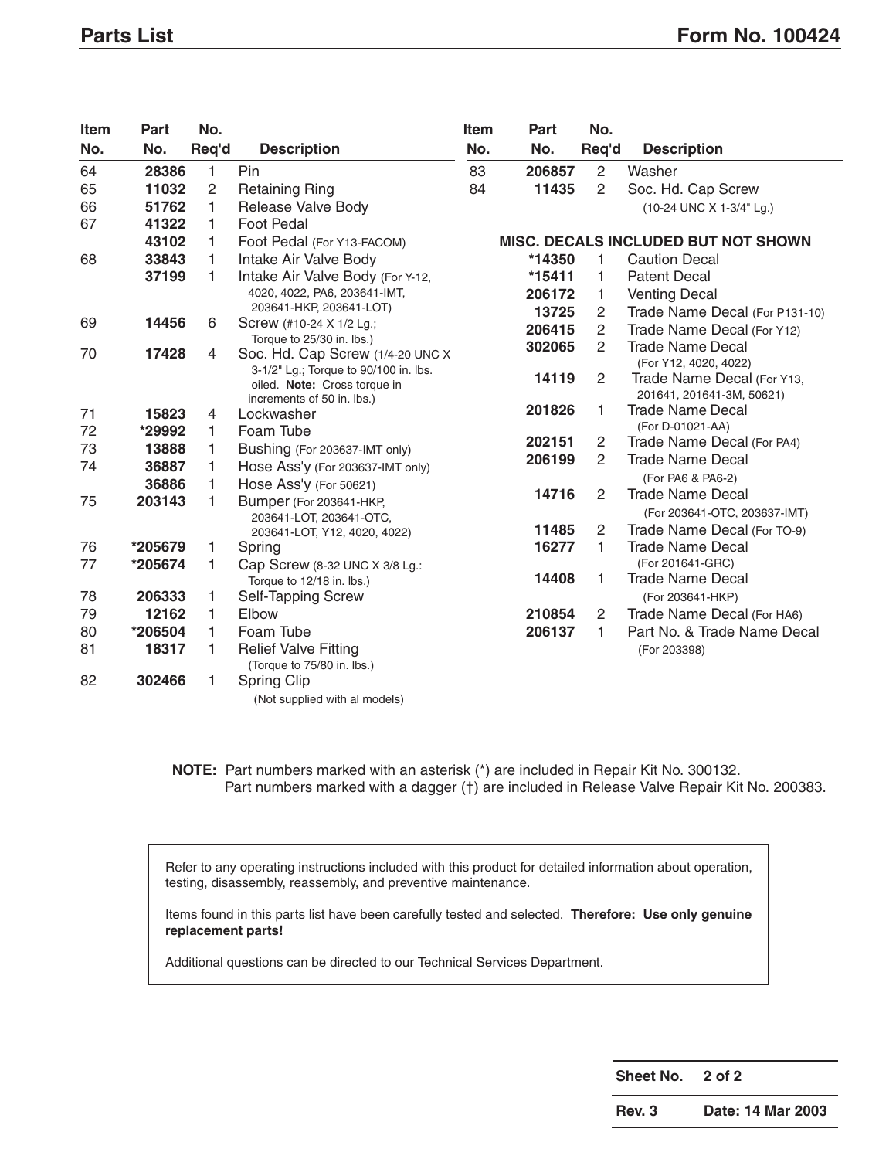| <b>Item</b> | Part    | No.   |                                                               | Item | Part   | No.            |                                                             |
|-------------|---------|-------|---------------------------------------------------------------|------|--------|----------------|-------------------------------------------------------------|
| No.         | No.     | Req'd | <b>Description</b>                                            | No.  | No.    | Req'd          | <b>Description</b>                                          |
| 64          | 28386   | 1     | Pin                                                           | 83   | 206857 | $\overline{2}$ | Washer                                                      |
| 65          | 11032   | 2     | <b>Retaining Ring</b>                                         | 84   | 11435  | $\overline{2}$ | Soc. Hd. Cap Screw                                          |
| 66          | 51762   | 1     | Release Valve Body                                            |      |        |                | (10-24 UNC X 1-3/4" Lg.)                                    |
| 67          | 41322   | 1     | Foot Pedal                                                    |      |        |                |                                                             |
|             | 43102   | 1     | Foot Pedal (For Y13-FACOM)                                    |      |        |                | <b>MISC. DECALS INCLUDED BUT NOT SHOWN</b>                  |
| 68          | 33843   | 1     | Intake Air Valve Body                                         |      | *14350 | 1              | <b>Caution Decal</b>                                        |
|             | 37199   | 1.    | Intake Air Valve Body (For Y-12,                              |      | *15411 | 1              | <b>Patent Decal</b>                                         |
|             |         |       | 4020, 4022, PA6, 203641-IMT,                                  |      | 206172 | 1              | <b>Venting Decal</b>                                        |
|             |         |       | 203641-HKP, 203641-LOT)                                       |      | 13725  | 2              | Trade Name Decal (For P131-10)                              |
| 69          | 14456   | 6     | Screw (#10-24 X 1/2 Lg.;                                      |      | 206415 | $\overline{2}$ | Trade Name Decal (For Y12)                                  |
| 70          | 17428   | 4     | Torque to 25/30 in. lbs.)<br>Soc. Hd. Cap Screw (1/4-20 UNC X |      | 302065 | $\mathbf{2}$   | <b>Trade Name Decal</b>                                     |
|             |         |       | 3-1/2" Lg.; Torque to 90/100 in. lbs.                         |      |        |                | (For Y12, 4020, 4022)                                       |
|             |         |       | oiled. Note: Cross torque in                                  |      | 14119  | 2              | Trade Name Decal (For Y13,                                  |
|             |         |       | increments of 50 in. lbs.)                                    |      |        |                | 201641, 201641-3M, 50621)                                   |
| 71          | 15823   | 4     | Lockwasher                                                    |      | 201826 | 1              | <b>Trade Name Decal</b>                                     |
| 72          | *29992  | 1     | Foam Tube                                                     |      | 202151 | $\overline{2}$ | (For D-01021-AA)<br>Trade Name Decal (For PA4)              |
| 73          | 13888   | 1     | Bushing (For 203637-IMT only)                                 |      | 206199 | 2              | <b>Trade Name Decal</b>                                     |
| 74          | 36887   | 1     | Hose Ass'y (For 203637-IMT only)                              |      |        |                |                                                             |
|             | 36886   | 1     | Hose Ass'y (For 50621)                                        |      | 14716  | 2              | (For PA6 & PA6-2)<br><b>Trade Name Decal</b>                |
| 75          | 203143  | 1     | Bumper (For 203641-HKP,                                       |      |        |                |                                                             |
|             |         |       | 203641-LOT, 203641-OTC,                                       |      | 11485  | 2              | (For 203641-OTC, 203637-IMT)<br>Trade Name Decal (For TO-9) |
|             | *205679 | 1     | 203641-LOT, Y12, 4020, 4022)                                  |      | 16277  | 1              | <b>Trade Name Decal</b>                                     |
| 76<br>77    | *205674 | 1.    | Spring                                                        |      |        |                | (For 201641-GRC)                                            |
|             |         |       | Cap Screw (8-32 UNC X 3/8 Lg.:<br>Torque to 12/18 in. lbs.)   |      | 14408  | 1              | <b>Trade Name Decal</b>                                     |
| 78          | 206333  | 1     | <b>Self-Tapping Screw</b>                                     |      |        |                | (For 203641-HKP)                                            |
| 79          | 12162   | 1     | Elbow                                                         |      | 210854 | 2              | Trade Name Decal (For HA6)                                  |
| 80          | *206504 | 1     | Foam Tube                                                     |      | 206137 | 1.             | Part No. & Trade Name Decal                                 |
| 81          | 18317   | 1     | <b>Relief Valve Fitting</b>                                   |      |        |                | (For 203398)                                                |
|             |         |       | (Torque to 75/80 in. lbs.)                                    |      |        |                |                                                             |
| 82          | 302466  | 1     | Spring Clip                                                   |      |        |                |                                                             |
|             |         |       | (Not supplied with al models)                                 |      |        |                |                                                             |

**NOTE:** Part numbers marked with an asterisk (\*) are included in Repair Kit No. 300132. Part numbers marked with a dagger (†) are included in Release Valve Repair Kit No. 200383.

Refer to any operating instructions included with this product for detailed information about operation, testing, disassembly, reassembly, and preventive maintenance.

Items found in this parts list have been carefully tested and selected. **Therefore: Use only genuine replacement parts!**

Additional questions can be directed to our Technical Services Department.

**Sheet No. 2 of 2**